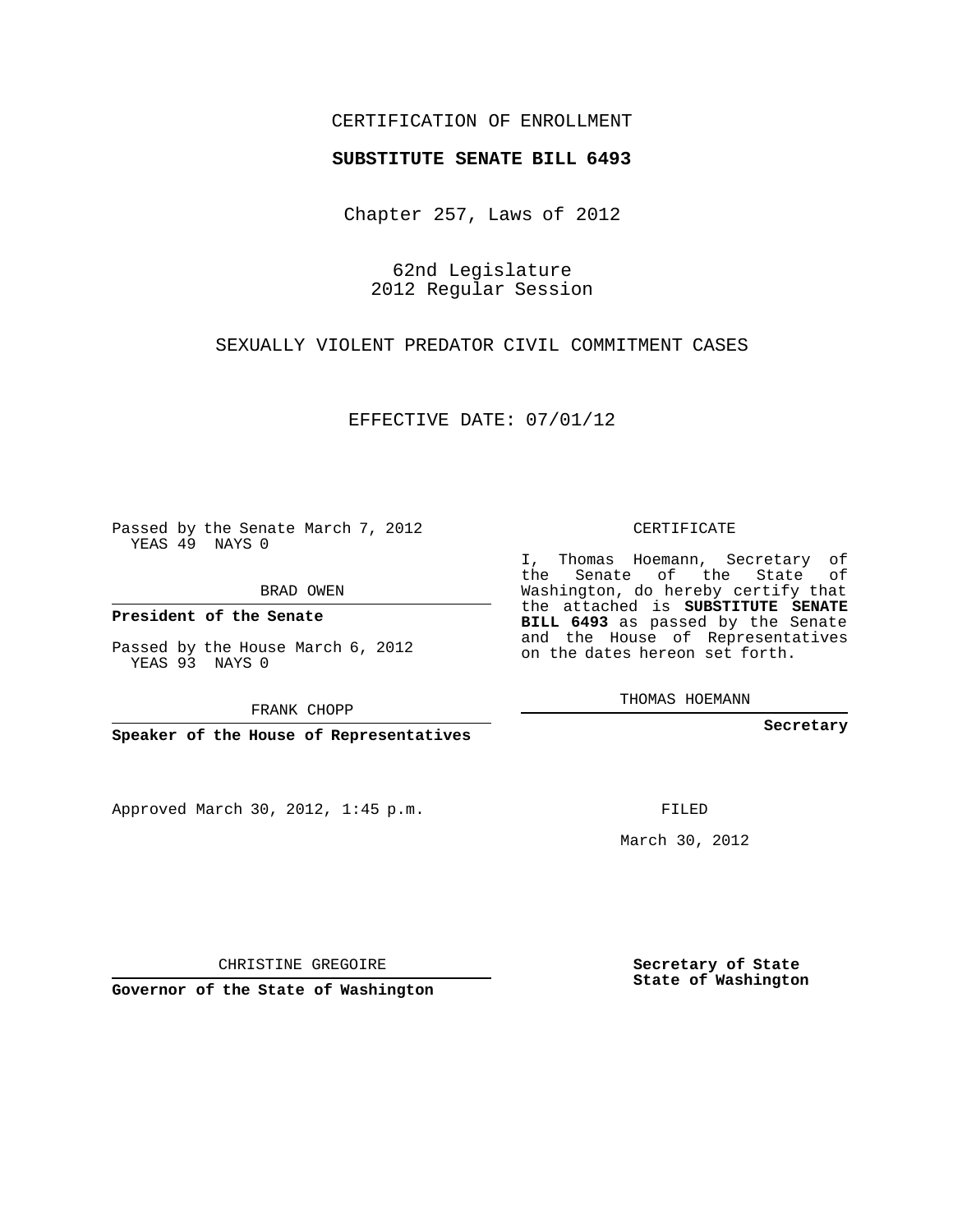#### CERTIFICATION OF ENROLLMENT

#### **SUBSTITUTE SENATE BILL 6493**

Chapter 257, Laws of 2012

62nd Legislature 2012 Regular Session

### SEXUALLY VIOLENT PREDATOR CIVIL COMMITMENT CASES

EFFECTIVE DATE: 07/01/12

Passed by the Senate March 7, 2012 YEAS 49 NAYS 0

BRAD OWEN

**President of the Senate**

Passed by the House March 6, 2012 YEAS 93 NAYS 0

FRANK CHOPP

**Speaker of the House of Representatives**

Approved March 30, 2012, 1:45 p.m.

CERTIFICATE

I, Thomas Hoemann, Secretary of the Senate of the State of Washington, do hereby certify that the attached is **SUBSTITUTE SENATE BILL 6493** as passed by the Senate and the House of Representatives on the dates hereon set forth.

THOMAS HOEMANN

**Secretary**

FILED

March 30, 2012

**Secretary of State State of Washington**

CHRISTINE GREGOIRE

**Governor of the State of Washington**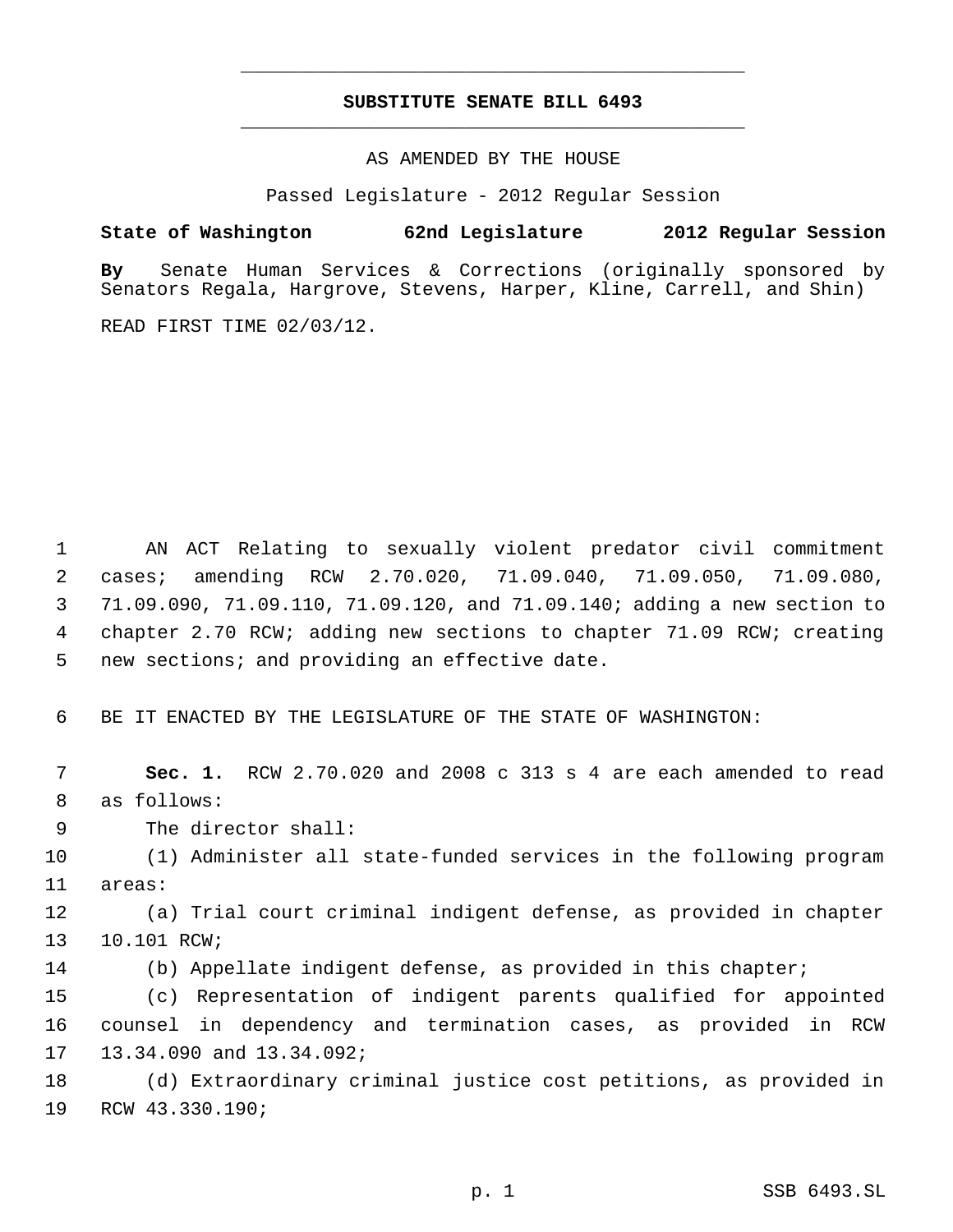## **SUBSTITUTE SENATE BILL 6493** \_\_\_\_\_\_\_\_\_\_\_\_\_\_\_\_\_\_\_\_\_\_\_\_\_\_\_\_\_\_\_\_\_\_\_\_\_\_\_\_\_\_\_\_\_

\_\_\_\_\_\_\_\_\_\_\_\_\_\_\_\_\_\_\_\_\_\_\_\_\_\_\_\_\_\_\_\_\_\_\_\_\_\_\_\_\_\_\_\_\_

AS AMENDED BY THE HOUSE

Passed Legislature - 2012 Regular Session

**State of Washington 62nd Legislature 2012 Regular Session**

**By** Senate Human Services & Corrections (originally sponsored by Senators Regala, Hargrove, Stevens, Harper, Kline, Carrell, and Shin)

READ FIRST TIME 02/03/12.

 AN ACT Relating to sexually violent predator civil commitment cases; amending RCW 2.70.020, 71.09.040, 71.09.050, 71.09.080, 71.09.090, 71.09.110, 71.09.120, and 71.09.140; adding a new section to chapter 2.70 RCW; adding new sections to chapter 71.09 RCW; creating new sections; and providing an effective date.

BE IT ENACTED BY THE LEGISLATURE OF THE STATE OF WASHINGTON:

 **Sec. 1.** RCW 2.70.020 and 2008 c 313 s 4 are each amended to read as follows:

The director shall:

 (1) Administer all state-funded services in the following program areas:

 (a) Trial court criminal indigent defense, as provided in chapter 10.101 RCW;

(b) Appellate indigent defense, as provided in this chapter;

 (c) Representation of indigent parents qualified for appointed counsel in dependency and termination cases, as provided in RCW 13.34.090 and 13.34.092;

 (d) Extraordinary criminal justice cost petitions, as provided in RCW 43.330.190;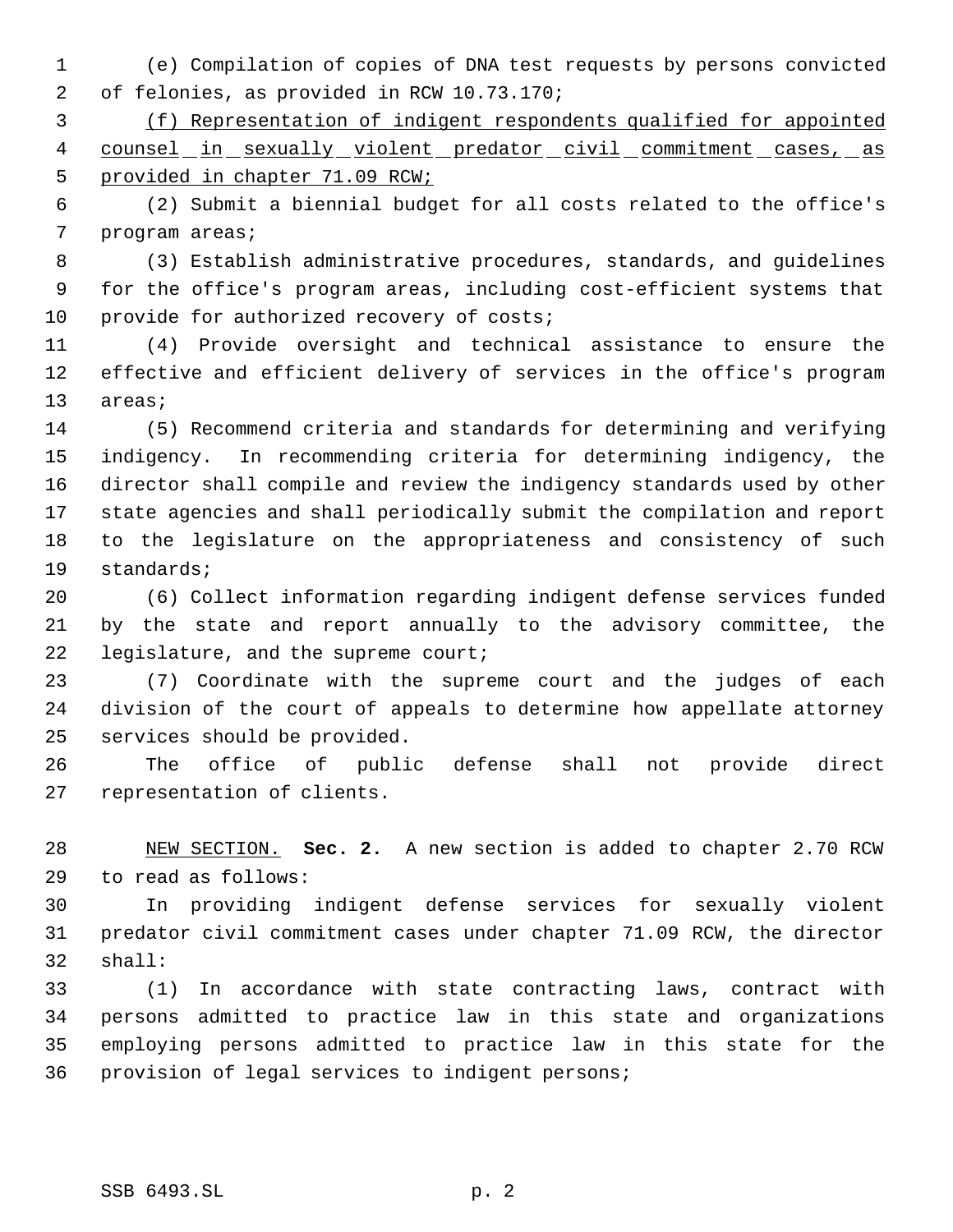(e) Compilation of copies of DNA test requests by persons convicted of felonies, as provided in RCW 10.73.170;

 (f) Representation of indigent respondents qualified for appointed 4 counsel in sexually violent predator civil commitment cases, as 5 provided in chapter 71.09 RCW;

 (2) Submit a biennial budget for all costs related to the office's program areas;

 (3) Establish administrative procedures, standards, and guidelines for the office's program areas, including cost-efficient systems that 10 provide for authorized recovery of costs;

 (4) Provide oversight and technical assistance to ensure the effective and efficient delivery of services in the office's program areas;

 (5) Recommend criteria and standards for determining and verifying indigency. In recommending criteria for determining indigency, the director shall compile and review the indigency standards used by other state agencies and shall periodically submit the compilation and report to the legislature on the appropriateness and consistency of such standards;

 (6) Collect information regarding indigent defense services funded by the state and report annually to the advisory committee, the 22 legislature, and the supreme court;

 (7) Coordinate with the supreme court and the judges of each division of the court of appeals to determine how appellate attorney services should be provided.

 The office of public defense shall not provide direct representation of clients.

 NEW SECTION. **Sec. 2.** A new section is added to chapter 2.70 RCW to read as follows:

 In providing indigent defense services for sexually violent predator civil commitment cases under chapter 71.09 RCW, the director shall:

 (1) In accordance with state contracting laws, contract with persons admitted to practice law in this state and organizations employing persons admitted to practice law in this state for the provision of legal services to indigent persons;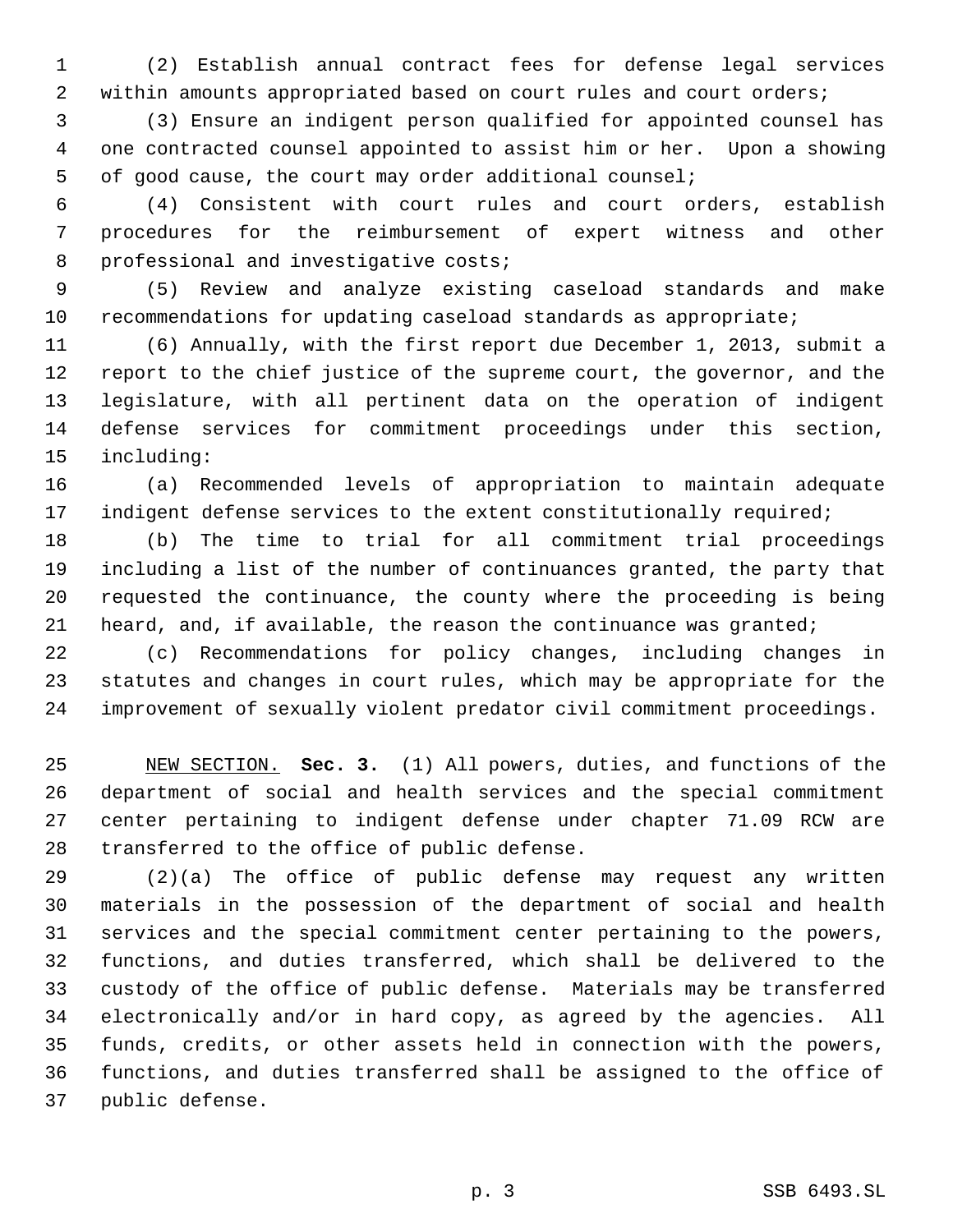(2) Establish annual contract fees for defense legal services 2 within amounts appropriated based on court rules and court orders;

 (3) Ensure an indigent person qualified for appointed counsel has one contracted counsel appointed to assist him or her. Upon a showing of good cause, the court may order additional counsel;

 (4) Consistent with court rules and court orders, establish procedures for the reimbursement of expert witness and other 8 professional and investigative costs;

 (5) Review and analyze existing caseload standards and make recommendations for updating caseload standards as appropriate;

 (6) Annually, with the first report due December 1, 2013, submit a report to the chief justice of the supreme court, the governor, and the legislature, with all pertinent data on the operation of indigent defense services for commitment proceedings under this section, including:

 (a) Recommended levels of appropriation to maintain adequate 17 indigent defense services to the extent constitutionally required;

 (b) The time to trial for all commitment trial proceedings including a list of the number of continuances granted, the party that requested the continuance, the county where the proceeding is being heard, and, if available, the reason the continuance was granted;

 (c) Recommendations for policy changes, including changes in statutes and changes in court rules, which may be appropriate for the improvement of sexually violent predator civil commitment proceedings.

 NEW SECTION. **Sec. 3.** (1) All powers, duties, and functions of the department of social and health services and the special commitment center pertaining to indigent defense under chapter 71.09 RCW are transferred to the office of public defense.

 (2)(a) The office of public defense may request any written materials in the possession of the department of social and health services and the special commitment center pertaining to the powers, functions, and duties transferred, which shall be delivered to the custody of the office of public defense. Materials may be transferred electronically and/or in hard copy, as agreed by the agencies. All funds, credits, or other assets held in connection with the powers, functions, and duties transferred shall be assigned to the office of public defense.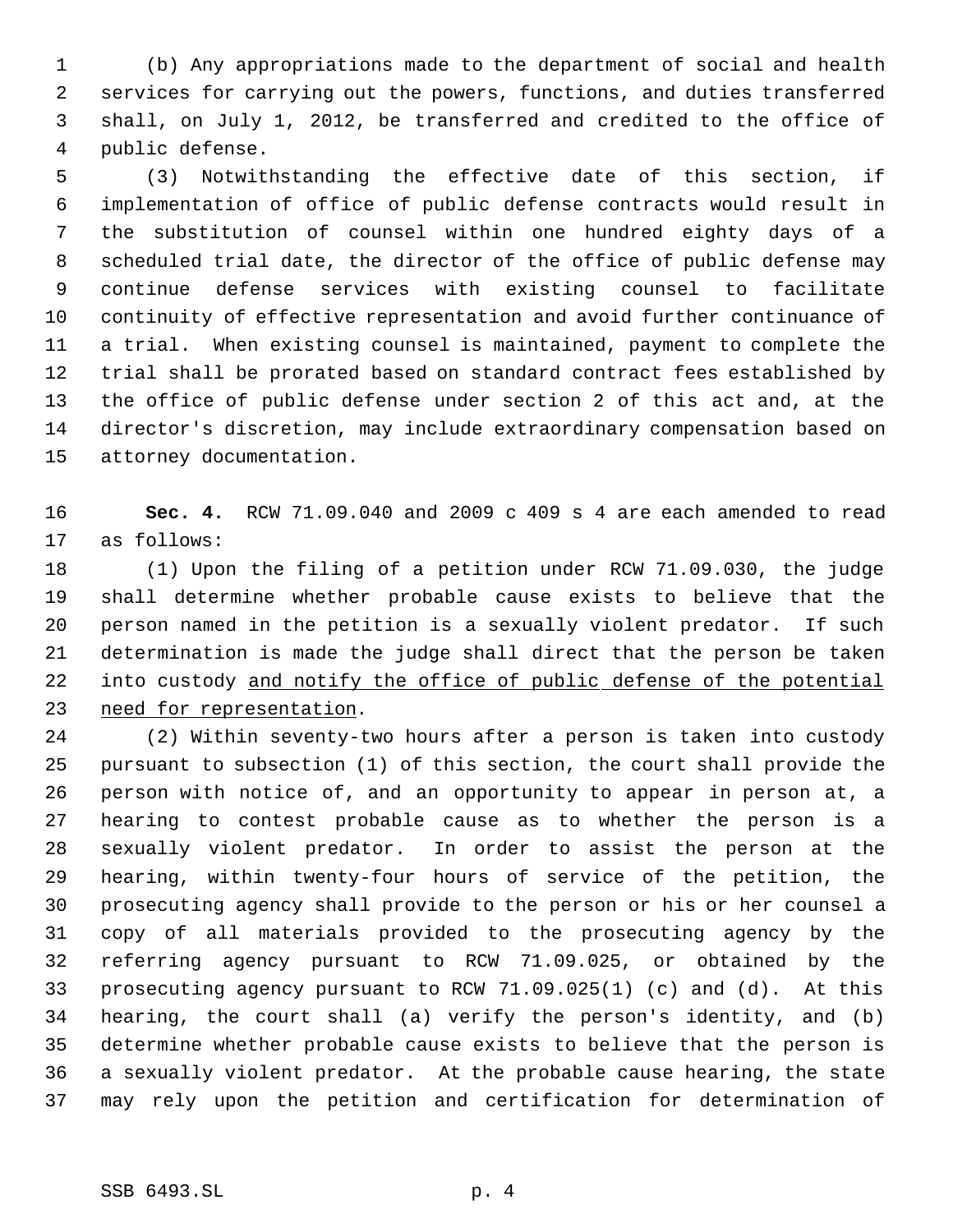(b) Any appropriations made to the department of social and health services for carrying out the powers, functions, and duties transferred shall, on July 1, 2012, be transferred and credited to the office of public defense.

 (3) Notwithstanding the effective date of this section, if implementation of office of public defense contracts would result in the substitution of counsel within one hundred eighty days of a scheduled trial date, the director of the office of public defense may continue defense services with existing counsel to facilitate continuity of effective representation and avoid further continuance of a trial. When existing counsel is maintained, payment to complete the trial shall be prorated based on standard contract fees established by the office of public defense under section 2 of this act and, at the director's discretion, may include extraordinary compensation based on attorney documentation.

 **Sec. 4.** RCW 71.09.040 and 2009 c 409 s 4 are each amended to read as follows:

 (1) Upon the filing of a petition under RCW 71.09.030, the judge shall determine whether probable cause exists to believe that the person named in the petition is a sexually violent predator. If such determination is made the judge shall direct that the person be taken 22 into custody and notify the office of public defense of the potential need for representation.

 (2) Within seventy-two hours after a person is taken into custody pursuant to subsection (1) of this section, the court shall provide the person with notice of, and an opportunity to appear in person at, a hearing to contest probable cause as to whether the person is a sexually violent predator. In order to assist the person at the hearing, within twenty-four hours of service of the petition, the prosecuting agency shall provide to the person or his or her counsel a copy of all materials provided to the prosecuting agency by the referring agency pursuant to RCW 71.09.025, or obtained by the prosecuting agency pursuant to RCW 71.09.025(1) (c) and (d). At this hearing, the court shall (a) verify the person's identity, and (b) determine whether probable cause exists to believe that the person is a sexually violent predator. At the probable cause hearing, the state may rely upon the petition and certification for determination of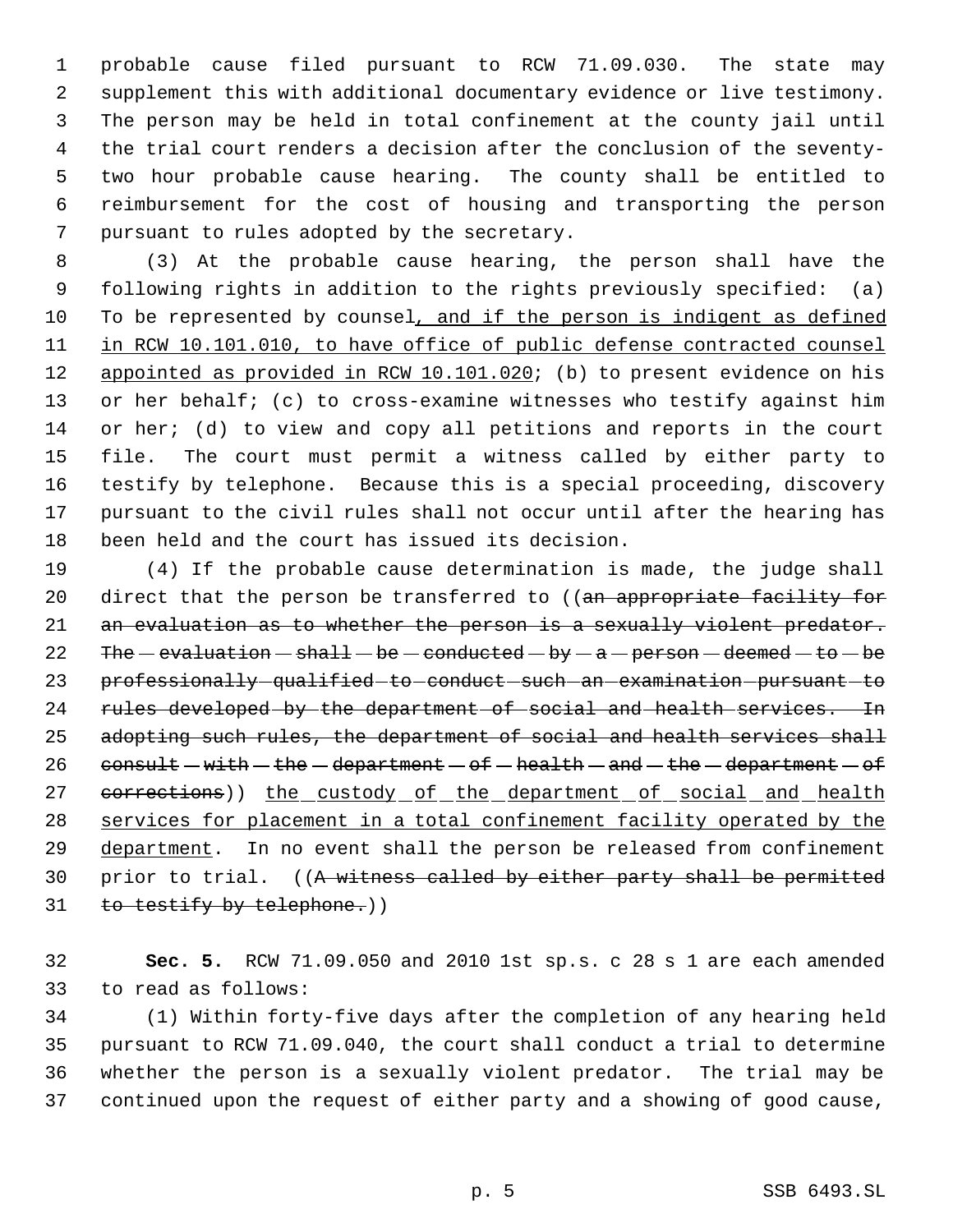probable cause filed pursuant to RCW 71.09.030. The state may supplement this with additional documentary evidence or live testimony. The person may be held in total confinement at the county jail until the trial court renders a decision after the conclusion of the seventy- two hour probable cause hearing. The county shall be entitled to reimbursement for the cost of housing and transporting the person pursuant to rules adopted by the secretary.

 (3) At the probable cause hearing, the person shall have the following rights in addition to the rights previously specified: (a) To be represented by counsel, and if the person is indigent as defined 11 in RCW 10.101.010, to have office of public defense contracted counsel 12 appointed as provided in RCW 10.101.020; (b) to present evidence on his or her behalf; (c) to cross-examine witnesses who testify against him 14 or her; (d) to view and copy all petitions and reports in the court file. The court must permit a witness called by either party to testify by telephone. Because this is a special proceeding, discovery pursuant to the civil rules shall not occur until after the hearing has been held and the court has issued its decision.

 (4) If the probable cause determination is made, the judge shall 20 direct that the person be transferred to ((an appropriate facility for 21 an evaluation as to whether the person is a sexually violent predator. 22 The  $-evaluation - shall - be - conducted - by - a - person - deemed - to - be$ 23 professionally-qualified-to-conduct-such-an-examination-pursuant-to 24 rules developed by the department of social and health services. In 25 adopting such rules, the department of social and health services shall 26 consult  $-with - the - department - of - health - and - the - department - of$ 27 corrections)) the custody of the department of social and health services for placement in a total confinement facility operated by the 29 department. In no event shall the person be released from confinement 30 prior to trial. ((A witness called by either party shall be permitted 31 to testify by telephone.))

 **Sec. 5.** RCW 71.09.050 and 2010 1st sp.s. c 28 s 1 are each amended to read as follows:

 (1) Within forty-five days after the completion of any hearing held pursuant to RCW 71.09.040, the court shall conduct a trial to determine whether the person is a sexually violent predator. The trial may be continued upon the request of either party and a showing of good cause,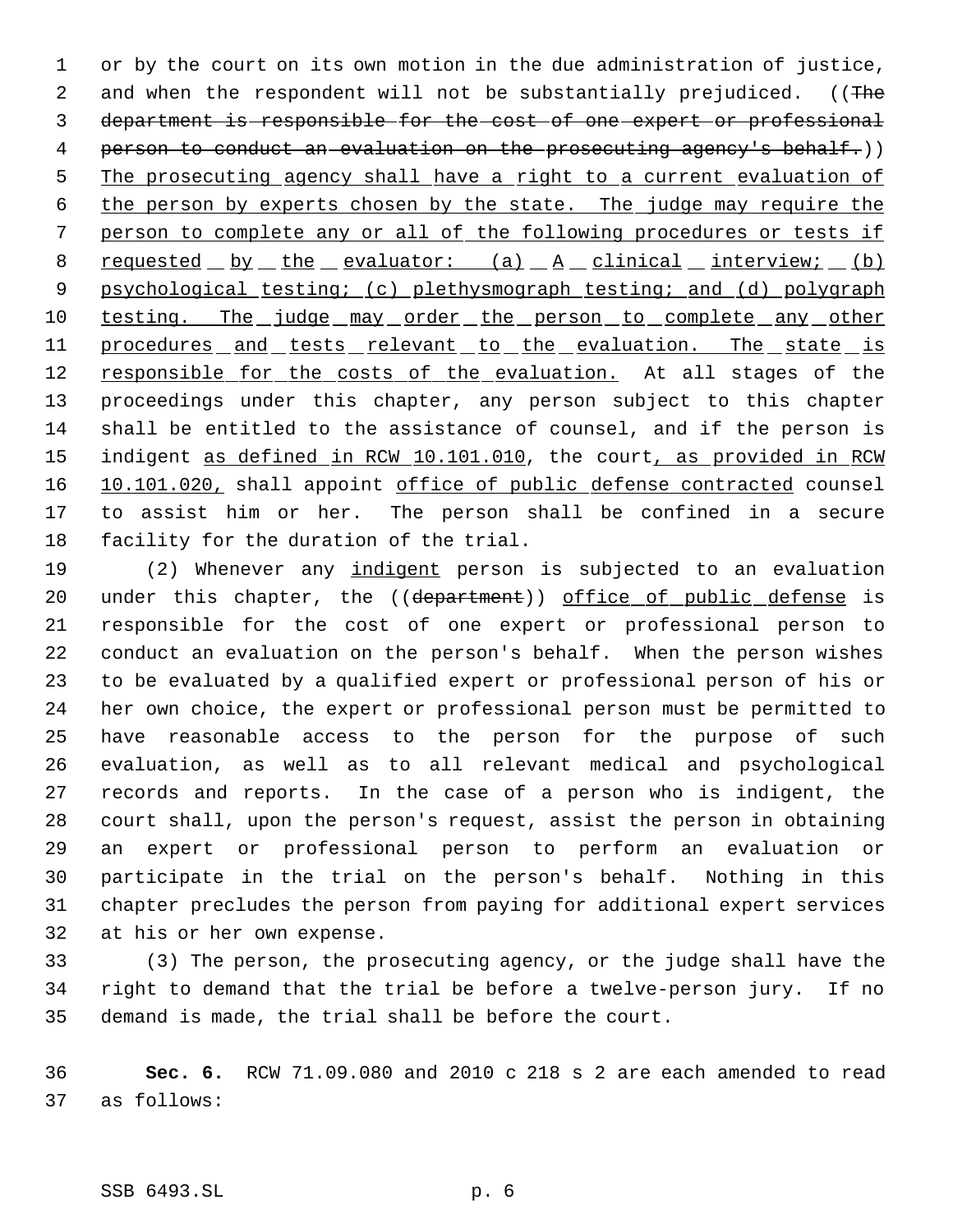or by the court on its own motion in the due administration of justice, 2 and when the respondent will not be substantially prejudiced. ((The department is responsible for the cost of one expert or professional person to conduct an evaluation on the prosecuting agency's behalf.)) The prosecuting agency shall have a right to a current evaluation of the person by experts chosen by the state. The judge may require the person to complete any or all of the following procedures or tests if 8 requested by the evaluator:  $(a)$   $A$  clinical interview; (b) 9 psychological testing; (c) plethysmograph testing; and (d) polygraph 10 testing. The judge may order the person to complete any other 11 procedures and tests relevant to the evaluation. The state is 12 responsible for the costs of the evaluation. At all stages of the proceedings under this chapter, any person subject to this chapter shall be entitled to the assistance of counsel, and if the person is 15 indigent as defined in RCW 10.101.010, the court, as provided in RCW 16 10.101.020, shall appoint office of public defense contracted counsel to assist him or her. The person shall be confined in a secure facility for the duration of the trial.

19 (2) Whenever any indigent person is subjected to an evaluation 20 under this chapter, the ((department)) office of public defense is responsible for the cost of one expert or professional person to conduct an evaluation on the person's behalf. When the person wishes to be evaluated by a qualified expert or professional person of his or her own choice, the expert or professional person must be permitted to have reasonable access to the person for the purpose of such evaluation, as well as to all relevant medical and psychological records and reports. In the case of a person who is indigent, the court shall, upon the person's request, assist the person in obtaining an expert or professional person to perform an evaluation or participate in the trial on the person's behalf. Nothing in this chapter precludes the person from paying for additional expert services at his or her own expense.

 (3) The person, the prosecuting agency, or the judge shall have the right to demand that the trial be before a twelve-person jury. If no demand is made, the trial shall be before the court.

 **Sec. 6.** RCW 71.09.080 and 2010 c 218 s 2 are each amended to read as follows: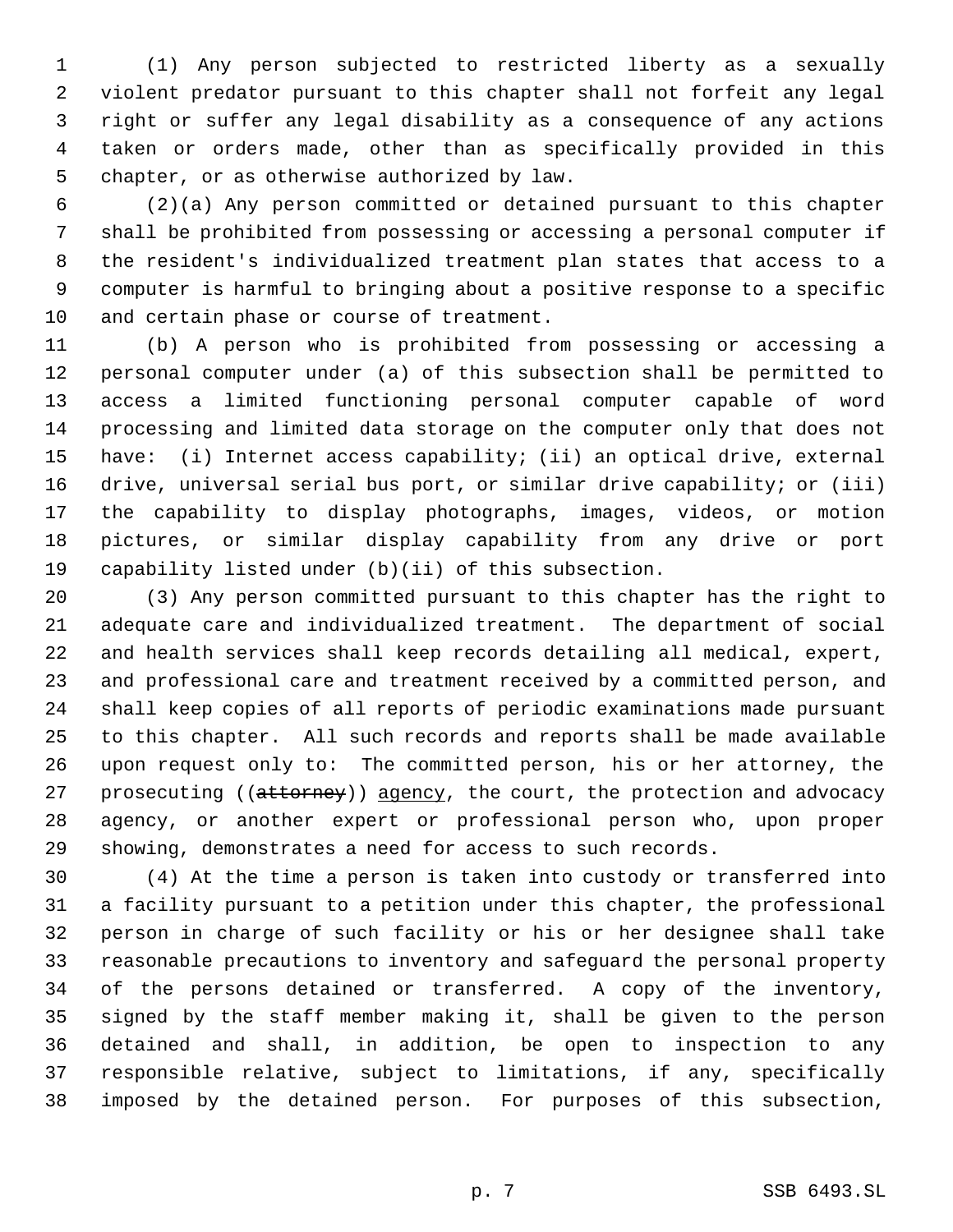(1) Any person subjected to restricted liberty as a sexually violent predator pursuant to this chapter shall not forfeit any legal right or suffer any legal disability as a consequence of any actions taken or orders made, other than as specifically provided in this chapter, or as otherwise authorized by law.

 (2)(a) Any person committed or detained pursuant to this chapter shall be prohibited from possessing or accessing a personal computer if the resident's individualized treatment plan states that access to a computer is harmful to bringing about a positive response to a specific and certain phase or course of treatment.

 (b) A person who is prohibited from possessing or accessing a personal computer under (a) of this subsection shall be permitted to access a limited functioning personal computer capable of word processing and limited data storage on the computer only that does not have: (i) Internet access capability; (ii) an optical drive, external 16 drive, universal serial bus port, or similar drive capability; or (iii) the capability to display photographs, images, videos, or motion pictures, or similar display capability from any drive or port capability listed under (b)(ii) of this subsection.

 (3) Any person committed pursuant to this chapter has the right to adequate care and individualized treatment. The department of social and health services shall keep records detailing all medical, expert, and professional care and treatment received by a committed person, and shall keep copies of all reports of periodic examinations made pursuant to this chapter. All such records and reports shall be made available upon request only to: The committed person, his or her attorney, the 27 prosecuting ((attorney)) agency, the court, the protection and advocacy agency, or another expert or professional person who, upon proper showing, demonstrates a need for access to such records.

 (4) At the time a person is taken into custody or transferred into a facility pursuant to a petition under this chapter, the professional person in charge of such facility or his or her designee shall take reasonable precautions to inventory and safeguard the personal property of the persons detained or transferred. A copy of the inventory, signed by the staff member making it, shall be given to the person detained and shall, in addition, be open to inspection to any responsible relative, subject to limitations, if any, specifically imposed by the detained person. For purposes of this subsection,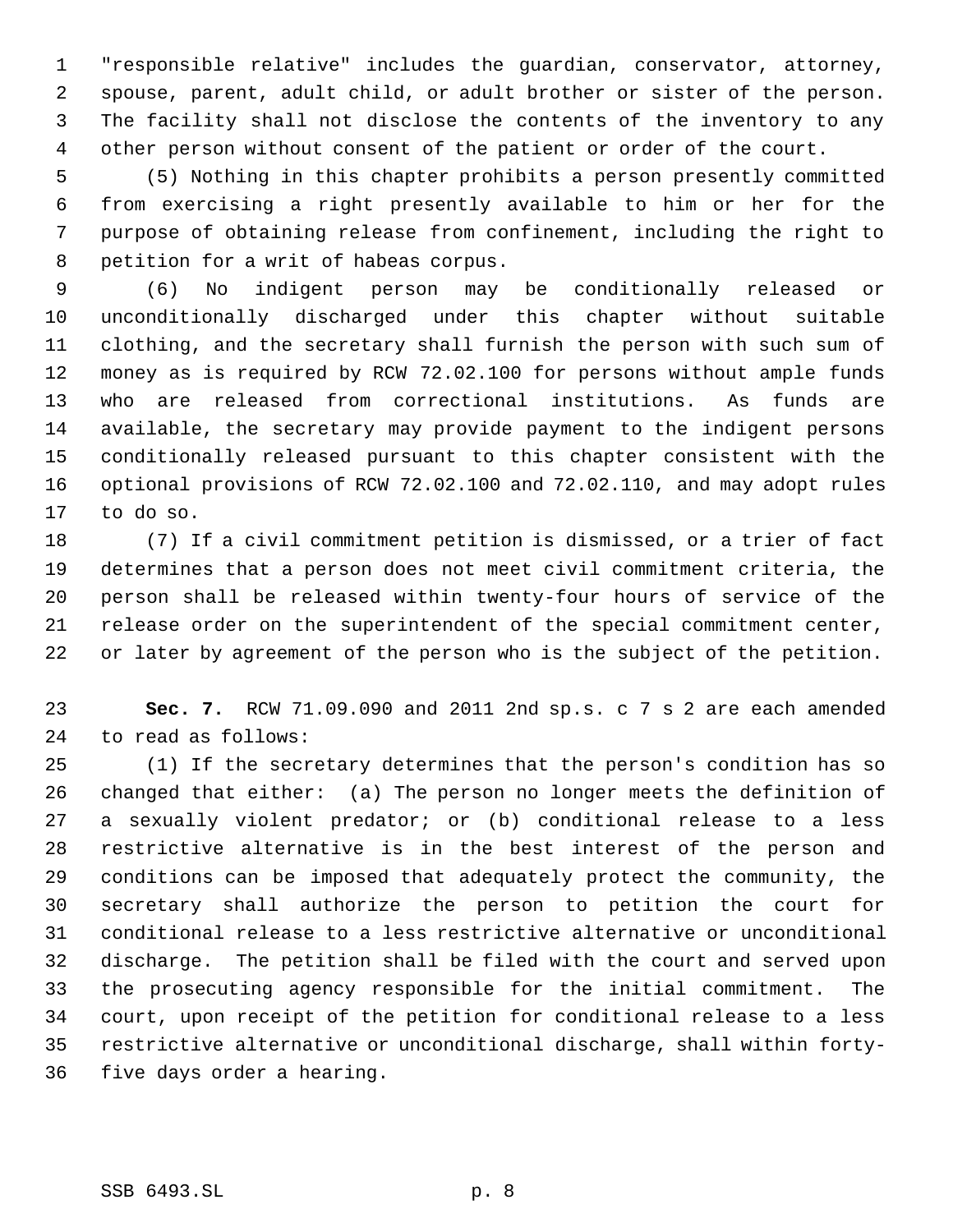"responsible relative" includes the guardian, conservator, attorney, spouse, parent, adult child, or adult brother or sister of the person. The facility shall not disclose the contents of the inventory to any other person without consent of the patient or order of the court.

 (5) Nothing in this chapter prohibits a person presently committed from exercising a right presently available to him or her for the purpose of obtaining release from confinement, including the right to petition for a writ of habeas corpus.

 (6) No indigent person may be conditionally released or unconditionally discharged under this chapter without suitable clothing, and the secretary shall furnish the person with such sum of money as is required by RCW 72.02.100 for persons without ample funds who are released from correctional institutions. As funds are available, the secretary may provide payment to the indigent persons conditionally released pursuant to this chapter consistent with the optional provisions of RCW 72.02.100 and 72.02.110, and may adopt rules to do so.

 (7) If a civil commitment petition is dismissed, or a trier of fact determines that a person does not meet civil commitment criteria, the person shall be released within twenty-four hours of service of the release order on the superintendent of the special commitment center, or later by agreement of the person who is the subject of the petition.

 **Sec. 7.** RCW 71.09.090 and 2011 2nd sp.s. c 7 s 2 are each amended to read as follows:

 (1) If the secretary determines that the person's condition has so changed that either: (a) The person no longer meets the definition of a sexually violent predator; or (b) conditional release to a less restrictive alternative is in the best interest of the person and conditions can be imposed that adequately protect the community, the secretary shall authorize the person to petition the court for conditional release to a less restrictive alternative or unconditional discharge. The petition shall be filed with the court and served upon the prosecuting agency responsible for the initial commitment. The court, upon receipt of the petition for conditional release to a less restrictive alternative or unconditional discharge, shall within forty-five days order a hearing.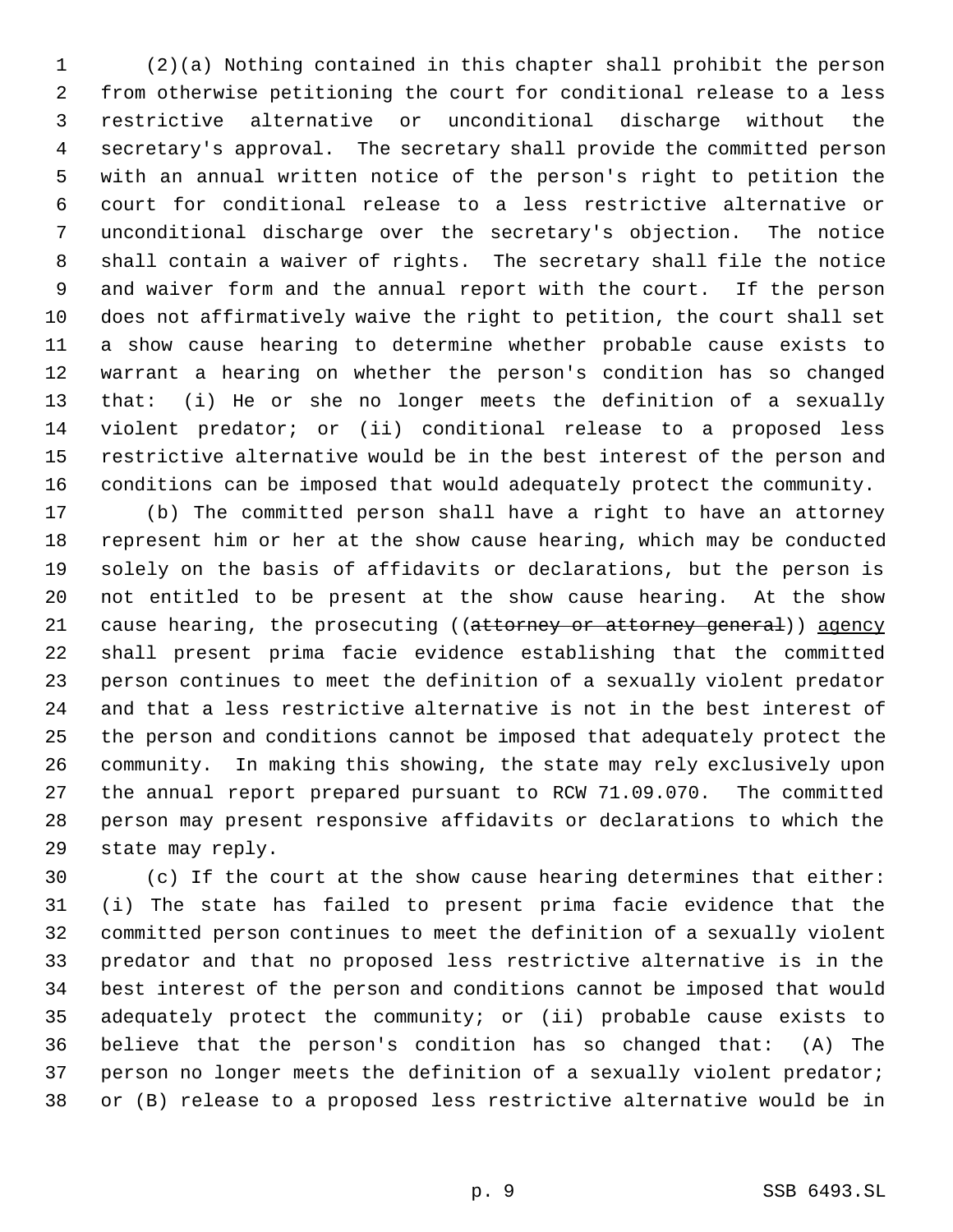(2)(a) Nothing contained in this chapter shall prohibit the person from otherwise petitioning the court for conditional release to a less restrictive alternative or unconditional discharge without the secretary's approval. The secretary shall provide the committed person with an annual written notice of the person's right to petition the court for conditional release to a less restrictive alternative or unconditional discharge over the secretary's objection. The notice shall contain a waiver of rights. The secretary shall file the notice and waiver form and the annual report with the court. If the person does not affirmatively waive the right to petition, the court shall set a show cause hearing to determine whether probable cause exists to warrant a hearing on whether the person's condition has so changed that: (i) He or she no longer meets the definition of a sexually violent predator; or (ii) conditional release to a proposed less restrictive alternative would be in the best interest of the person and conditions can be imposed that would adequately protect the community.

 (b) The committed person shall have a right to have an attorney represent him or her at the show cause hearing, which may be conducted solely on the basis of affidavits or declarations, but the person is not entitled to be present at the show cause hearing. At the show 21 cause hearing, the prosecuting ((attorney or attorney general)) agency shall present prima facie evidence establishing that the committed person continues to meet the definition of a sexually violent predator and that a less restrictive alternative is not in the best interest of the person and conditions cannot be imposed that adequately protect the community. In making this showing, the state may rely exclusively upon the annual report prepared pursuant to RCW 71.09.070. The committed person may present responsive affidavits or declarations to which the state may reply.

 (c) If the court at the show cause hearing determines that either: (i) The state has failed to present prima facie evidence that the committed person continues to meet the definition of a sexually violent predator and that no proposed less restrictive alternative is in the best interest of the person and conditions cannot be imposed that would adequately protect the community; or (ii) probable cause exists to believe that the person's condition has so changed that: (A) The person no longer meets the definition of a sexually violent predator; or (B) release to a proposed less restrictive alternative would be in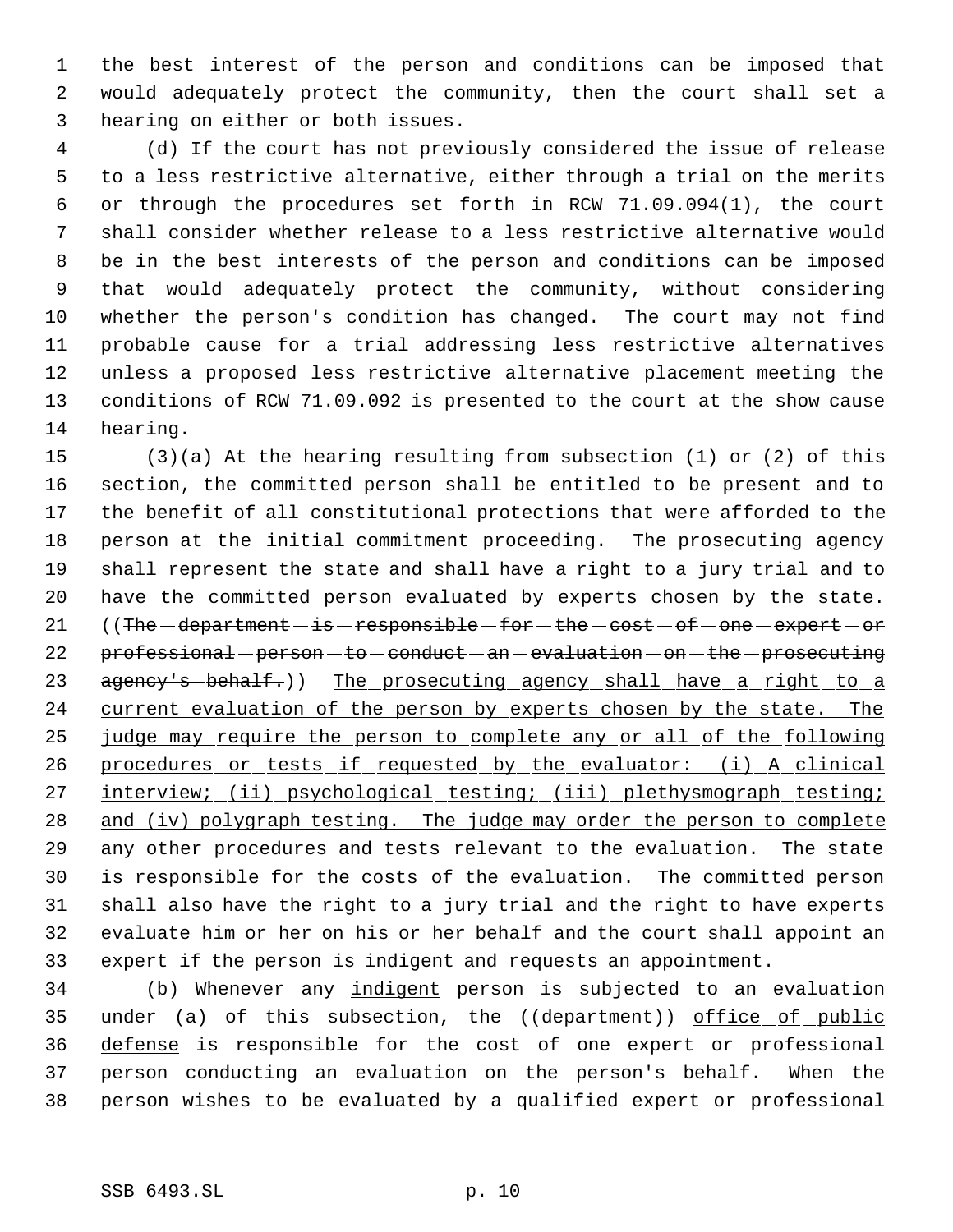the best interest of the person and conditions can be imposed that would adequately protect the community, then the court shall set a hearing on either or both issues.

 (d) If the court has not previously considered the issue of release to a less restrictive alternative, either through a trial on the merits or through the procedures set forth in RCW 71.09.094(1), the court shall consider whether release to a less restrictive alternative would be in the best interests of the person and conditions can be imposed that would adequately protect the community, without considering whether the person's condition has changed. The court may not find probable cause for a trial addressing less restrictive alternatives unless a proposed less restrictive alternative placement meeting the conditions of RCW 71.09.092 is presented to the court at the show cause hearing.

 (3)(a) At the hearing resulting from subsection (1) or (2) of this section, the committed person shall be entitled to be present and to the benefit of all constitutional protections that were afforded to the person at the initial commitment proceeding. The prosecuting agency shall represent the state and shall have a right to a jury trial and to have the committed person evaluated by experts chosen by the state. 21 ((The  $-department - is -respondible - for - the - cost - of - one - expect - or$ 22 professional - person - to - conduct - an - evaluation - on - the - prosecuting 23 agency's-behalf.)) The prosecuting agency shall have a right to a 24 current evaluation of the person by experts chosen by the state. The judge may require the person to complete any or all of the following 26 procedures or tests if requested by the evaluator: (i) A clinical 27 interview; (ii) psychological testing; (iii) plethysmograph testing; 28 and (iv) polygraph testing. The judge may order the person to complete 29 any other procedures and tests relevant to the evaluation. The state is responsible for the costs of the evaluation. The committed person shall also have the right to a jury trial and the right to have experts evaluate him or her on his or her behalf and the court shall appoint an expert if the person is indigent and requests an appointment.

 (b) Whenever any indigent person is subjected to an evaluation 35 under (a) of this subsection, the ((department)) office of public defense is responsible for the cost of one expert or professional person conducting an evaluation on the person's behalf. When the person wishes to be evaluated by a qualified expert or professional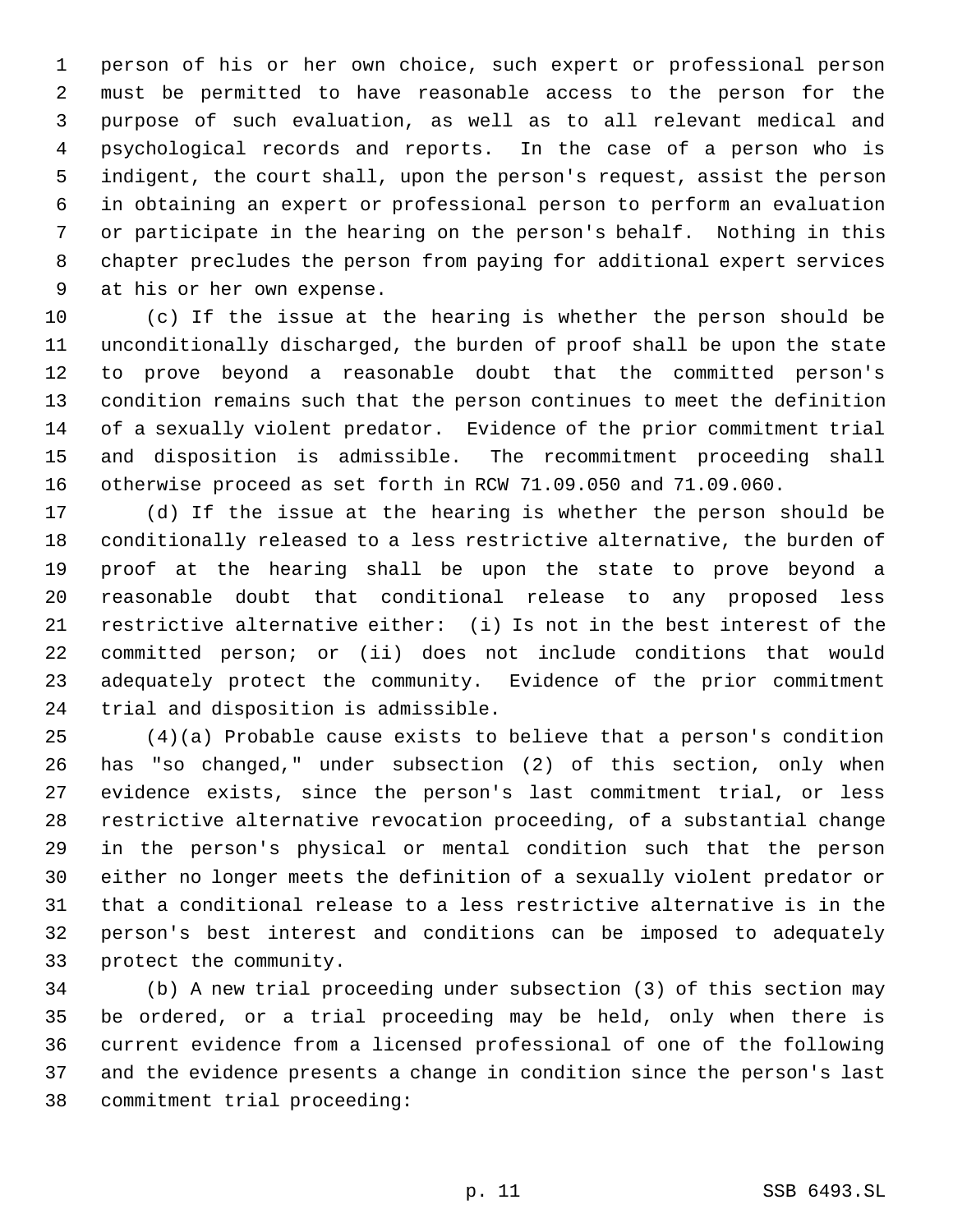person of his or her own choice, such expert or professional person must be permitted to have reasonable access to the person for the purpose of such evaluation, as well as to all relevant medical and psychological records and reports. In the case of a person who is indigent, the court shall, upon the person's request, assist the person in obtaining an expert or professional person to perform an evaluation or participate in the hearing on the person's behalf. Nothing in this chapter precludes the person from paying for additional expert services at his or her own expense.

 (c) If the issue at the hearing is whether the person should be unconditionally discharged, the burden of proof shall be upon the state to prove beyond a reasonable doubt that the committed person's condition remains such that the person continues to meet the definition of a sexually violent predator. Evidence of the prior commitment trial and disposition is admissible. The recommitment proceeding shall otherwise proceed as set forth in RCW 71.09.050 and 71.09.060.

 (d) If the issue at the hearing is whether the person should be conditionally released to a less restrictive alternative, the burden of proof at the hearing shall be upon the state to prove beyond a reasonable doubt that conditional release to any proposed less restrictive alternative either: (i) Is not in the best interest of the committed person; or (ii) does not include conditions that would adequately protect the community. Evidence of the prior commitment trial and disposition is admissible.

 (4)(a) Probable cause exists to believe that a person's condition has "so changed," under subsection (2) of this section, only when evidence exists, since the person's last commitment trial, or less restrictive alternative revocation proceeding, of a substantial change in the person's physical or mental condition such that the person either no longer meets the definition of a sexually violent predator or that a conditional release to a less restrictive alternative is in the person's best interest and conditions can be imposed to adequately protect the community.

 (b) A new trial proceeding under subsection (3) of this section may be ordered, or a trial proceeding may be held, only when there is current evidence from a licensed professional of one of the following and the evidence presents a change in condition since the person's last commitment trial proceeding: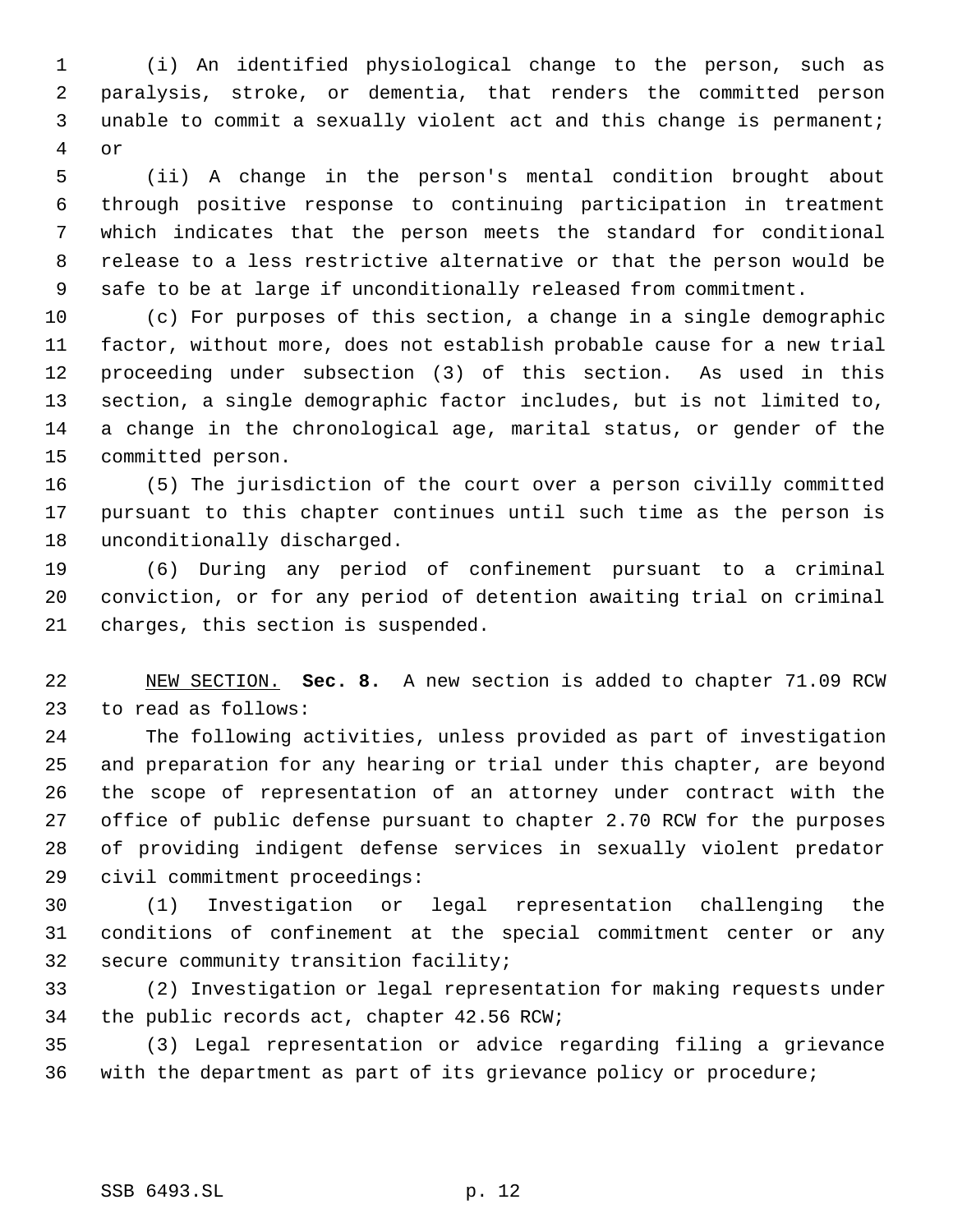(i) An identified physiological change to the person, such as paralysis, stroke, or dementia, that renders the committed person unable to commit a sexually violent act and this change is permanent; or

 (ii) A change in the person's mental condition brought about through positive response to continuing participation in treatment which indicates that the person meets the standard for conditional release to a less restrictive alternative or that the person would be safe to be at large if unconditionally released from commitment.

 (c) For purposes of this section, a change in a single demographic factor, without more, does not establish probable cause for a new trial proceeding under subsection (3) of this section. As used in this section, a single demographic factor includes, but is not limited to, a change in the chronological age, marital status, or gender of the committed person.

 (5) The jurisdiction of the court over a person civilly committed pursuant to this chapter continues until such time as the person is unconditionally discharged.

 (6) During any period of confinement pursuant to a criminal conviction, or for any period of detention awaiting trial on criminal charges, this section is suspended.

 NEW SECTION. **Sec. 8.** A new section is added to chapter 71.09 RCW to read as follows:

 The following activities, unless provided as part of investigation and preparation for any hearing or trial under this chapter, are beyond the scope of representation of an attorney under contract with the office of public defense pursuant to chapter 2.70 RCW for the purposes of providing indigent defense services in sexually violent predator civil commitment proceedings:

 (1) Investigation or legal representation challenging the conditions of confinement at the special commitment center or any secure community transition facility;

 (2) Investigation or legal representation for making requests under the public records act, chapter 42.56 RCW;

 (3) Legal representation or advice regarding filing a grievance with the department as part of its grievance policy or procedure;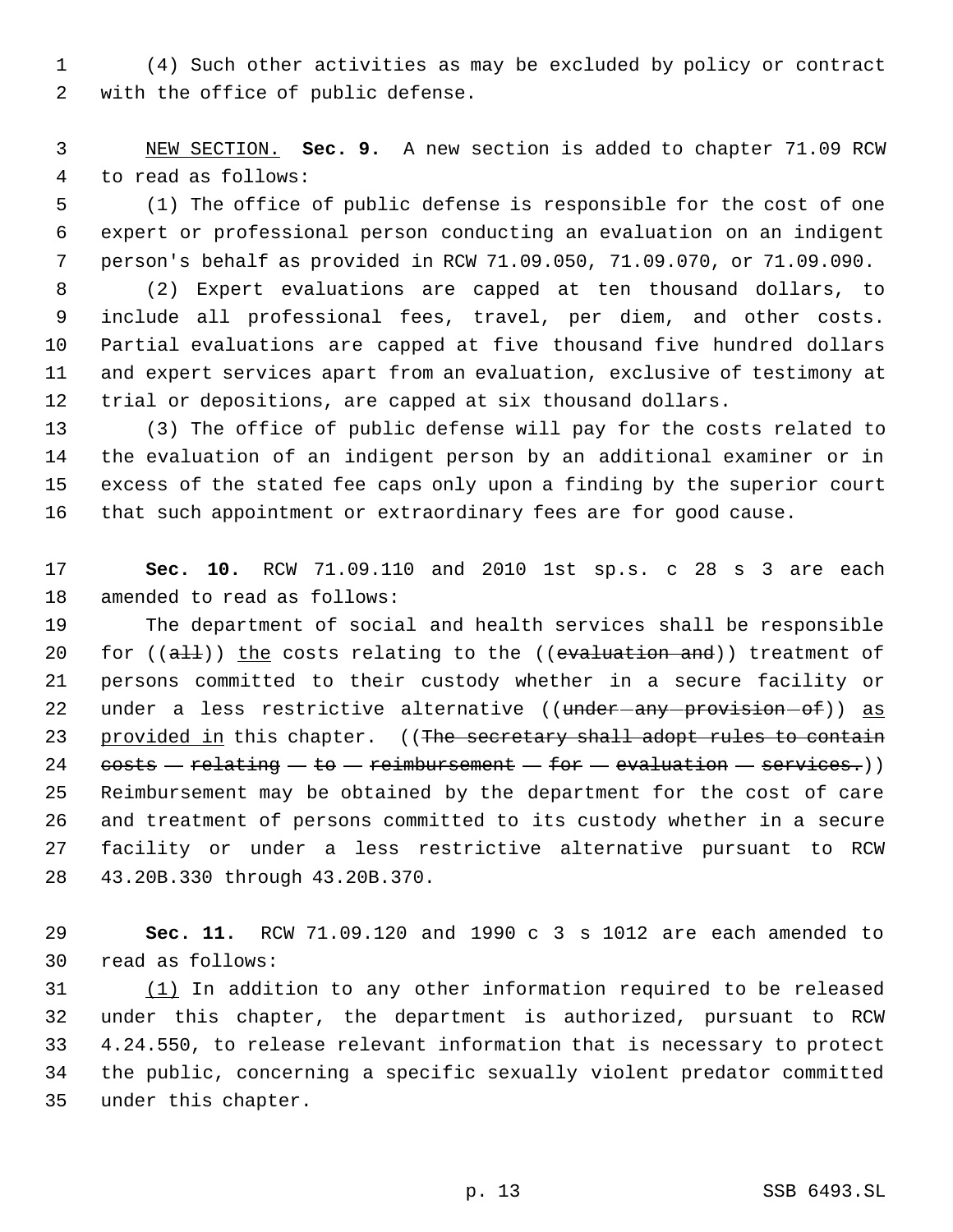(4) Such other activities as may be excluded by policy or contract with the office of public defense.

 NEW SECTION. **Sec. 9.** A new section is added to chapter 71.09 RCW to read as follows:

 (1) The office of public defense is responsible for the cost of one expert or professional person conducting an evaluation on an indigent person's behalf as provided in RCW 71.09.050, 71.09.070, or 71.09.090.

 (2) Expert evaluations are capped at ten thousand dollars, to include all professional fees, travel, per diem, and other costs. Partial evaluations are capped at five thousand five hundred dollars and expert services apart from an evaluation, exclusive of testimony at trial or depositions, are capped at six thousand dollars.

 (3) The office of public defense will pay for the costs related to the evaluation of an indigent person by an additional examiner or in excess of the stated fee caps only upon a finding by the superior court that such appointment or extraordinary fees are for good cause.

 **Sec. 10.** RCW 71.09.110 and 2010 1st sp.s. c 28 s 3 are each amended to read as follows:

 The department of social and health services shall be responsible 20 for  $((aH))$  the costs relating to the  $((evaluation and))$  treatment of persons committed to their custody whether in a secure facility or 22 under a less restrictive alternative ((under-any-provision-of)) as 23 provided in this chapter. ((The secretary shall adopt rules to contain  $costs - relating - to - reimburst-for - evaluation - services.)$  Reimbursement may be obtained by the department for the cost of care and treatment of persons committed to its custody whether in a secure facility or under a less restrictive alternative pursuant to RCW 43.20B.330 through 43.20B.370.

 **Sec. 11.** RCW 71.09.120 and 1990 c 3 s 1012 are each amended to read as follows:

 $(1)$  In addition to any other information required to be released under this chapter, the department is authorized, pursuant to RCW 4.24.550, to release relevant information that is necessary to protect the public, concerning a specific sexually violent predator committed under this chapter.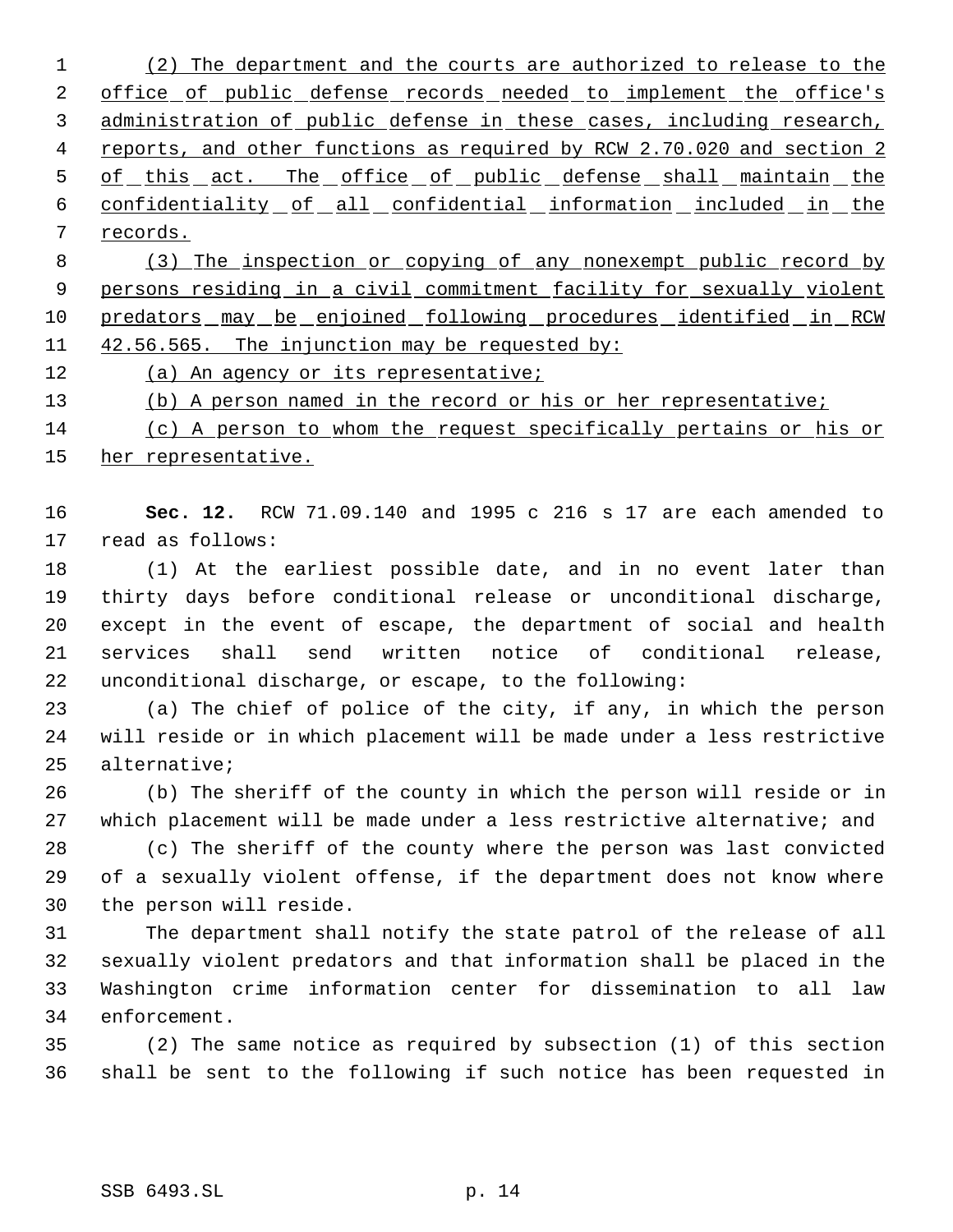(2) The department and the courts are authorized to release to the 2 office of public defense records needed to implement the office's administration of public defense in these cases, including research, 4 reports, and other functions as required by RCW 2.70.020 and section 2 5 of this act. The office of public defense shall maintain the 6 confidentiality of all confidential information included in the records.

 (3) The inspection or copying of any nonexempt public record by 9 persons residing in a civil commitment facility for sexually violent predators may be enjoined following procedures identified in RCW 42.56.565. The injunction may be requested by:

12 (a) An agency or its representative;

(b) A person named in the record or his or her representative;

 (c) A person to whom the request specifically pertains or his or her representative.

 **Sec. 12.** RCW 71.09.140 and 1995 c 216 s 17 are each amended to read as follows:

 (1) At the earliest possible date, and in no event later than thirty days before conditional release or unconditional discharge, except in the event of escape, the department of social and health services shall send written notice of conditional release, unconditional discharge, or escape, to the following:

 (a) The chief of police of the city, if any, in which the person will reside or in which placement will be made under a less restrictive alternative;

 (b) The sheriff of the county in which the person will reside or in which placement will be made under a less restrictive alternative; and

 (c) The sheriff of the county where the person was last convicted of a sexually violent offense, if the department does not know where the person will reside.

 The department shall notify the state patrol of the release of all sexually violent predators and that information shall be placed in the Washington crime information center for dissemination to all law enforcement.

 (2) The same notice as required by subsection (1) of this section shall be sent to the following if such notice has been requested in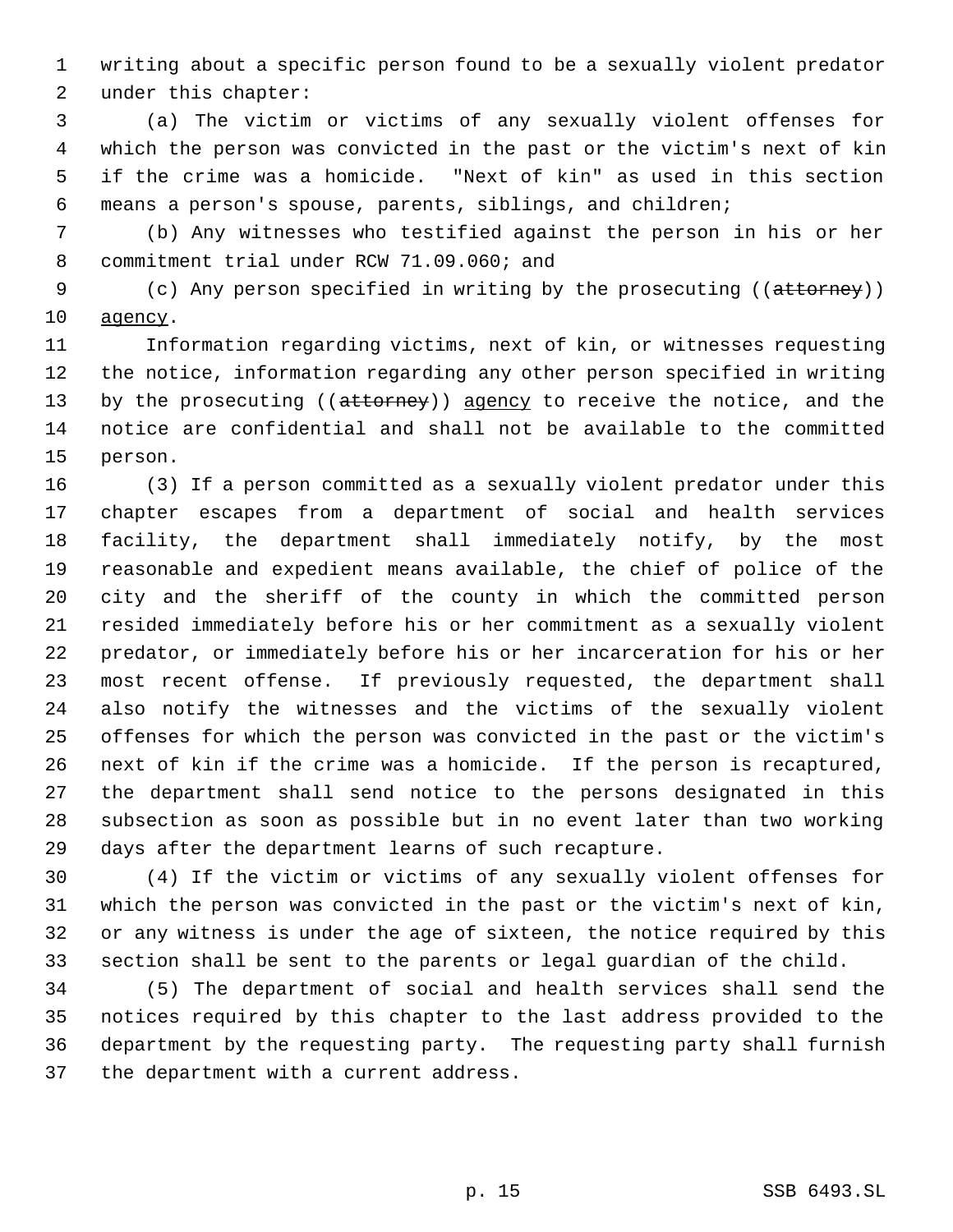writing about a specific person found to be a sexually violent predator under this chapter:

 (a) The victim or victims of any sexually violent offenses for which the person was convicted in the past or the victim's next of kin if the crime was a homicide. "Next of kin" as used in this section means a person's spouse, parents, siblings, and children;

 (b) Any witnesses who testified against the person in his or her commitment trial under RCW 71.09.060; and

9 (c) Any person specified in writing by the prosecuting ((attorney)) agency.

 Information regarding victims, next of kin, or witnesses requesting the notice, information regarding any other person specified in writing 13 by the prosecuting ((attorney)) agency to receive the notice, and the notice are confidential and shall not be available to the committed person.

 (3) If a person committed as a sexually violent predator under this chapter escapes from a department of social and health services facility, the department shall immediately notify, by the most reasonable and expedient means available, the chief of police of the city and the sheriff of the county in which the committed person resided immediately before his or her commitment as a sexually violent predator, or immediately before his or her incarceration for his or her most recent offense. If previously requested, the department shall also notify the witnesses and the victims of the sexually violent offenses for which the person was convicted in the past or the victim's next of kin if the crime was a homicide. If the person is recaptured, the department shall send notice to the persons designated in this subsection as soon as possible but in no event later than two working days after the department learns of such recapture.

 (4) If the victim or victims of any sexually violent offenses for which the person was convicted in the past or the victim's next of kin, or any witness is under the age of sixteen, the notice required by this section shall be sent to the parents or legal guardian of the child.

 (5) The department of social and health services shall send the notices required by this chapter to the last address provided to the department by the requesting party. The requesting party shall furnish the department with a current address.